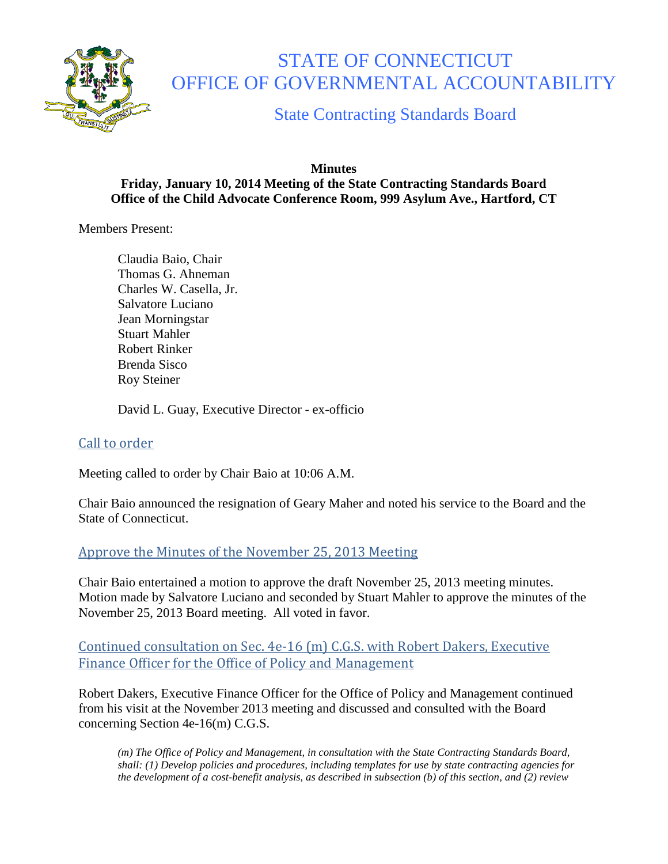

# STATE OF CONNECTICUT OFFICE OF GOVERNMENTAL ACCOUNTABILITY

State Contracting Standards Board

#### **Minutes Friday, January 10, 2014 Meeting of the State Contracting Standards Board Office of the Child Advocate Conference Room, 999 Asylum Ave., Hartford, CT**

Members Present:

Claudia Baio, Chair Thomas G. Ahneman Charles W. Casella, Jr. Salvatore Luciano Jean Morningstar Stuart Mahler Robert Rinker Brenda Sisco Roy Steiner

David L. Guay, Executive Director - ex-officio

## Call to order

Meeting called to order by Chair Baio at 10:06 A.M.

Chair Baio announced the resignation of Geary Maher and noted his service to the Board and the State of Connecticut.

## Approve the Minutes of the November 25, 2013 Meeting

Chair Baio entertained a motion to approve the draft November 25, 2013 meeting minutes. Motion made by Salvatore Luciano and seconded by Stuart Mahler to approve the minutes of the November 25, 2013 Board meeting. All voted in favor.

Continued consultation on Sec. 4e-16 (m) C.G.S. with Robert Dakers, Executive Finance Officer for the Office of Policy and Management

Robert Dakers, Executive Finance Officer for the Office of Policy and Management continued from his visit at the November 2013 meeting and discussed and consulted with the Board concerning Section 4e-16(m) C.G.S.

*(m) The Office of Policy and Management, in consultation with the State Contracting Standards Board, shall: (1) Develop policies and procedures, including templates for use by state contracting agencies for the development of a cost-benefit analysis, as described in subsection (b) of this section, and (2) review*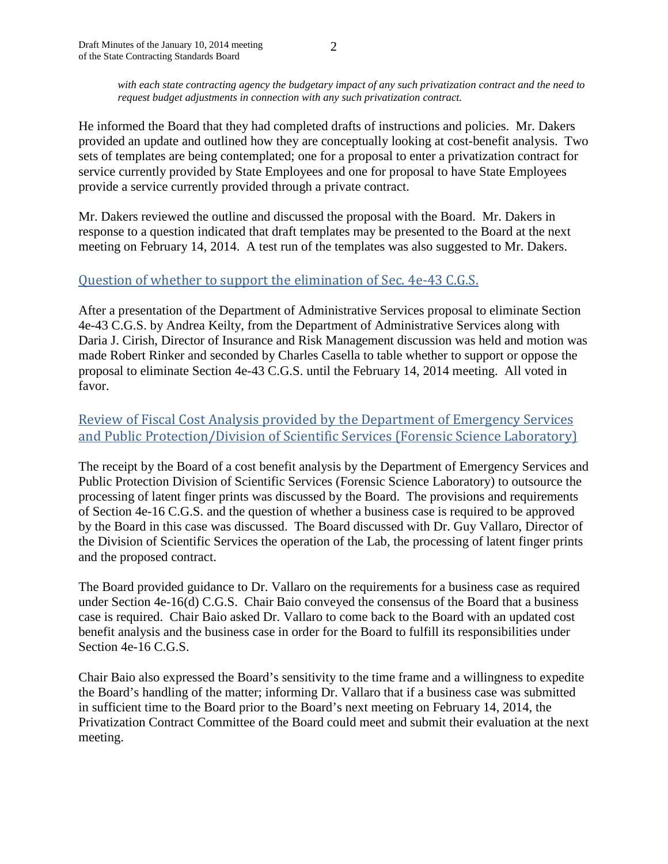*with each state contracting agency the budgetary impact of any such privatization contract and the need to request budget adjustments in connection with any such privatization contract.*

He informed the Board that they had completed drafts of instructions and policies. Mr. Dakers provided an update and outlined how they are conceptually looking at cost-benefit analysis. Two sets of templates are being contemplated; one for a proposal to enter a privatization contract for service currently provided by State Employees and one for proposal to have State Employees provide a service currently provided through a private contract.

Mr. Dakers reviewed the outline and discussed the proposal with the Board. Mr. Dakers in response to a question indicated that draft templates may be presented to the Board at the next meeting on February 14, 2014. A test run of the templates was also suggested to Mr. Dakers.

# Question of whether to support the elimination of Sec. 4e-43 C.G.S.

After a presentation of the Department of Administrative Services proposal to eliminate Section 4e-43 C.G.S. by Andrea Keilty, from the Department of Administrative Services along with Daria J. Cirish, Director of Insurance and Risk Management discussion was held and motion was made Robert Rinker and seconded by Charles Casella to table whether to support or oppose the proposal to eliminate Section 4e-43 C.G.S. until the February 14, 2014 meeting. All voted in favor.

# Review of Fiscal Cost Analysis provided by the Department of Emergency Services and Public Protection/Division of Scientific Services (Forensic Science Laboratory)

The receipt by the Board of a cost benefit analysis by the Department of Emergency Services and Public Protection Division of Scientific Services (Forensic Science Laboratory) to outsource the processing of latent finger prints was discussed by the Board. The provisions and requirements of Section 4e-16 C.G.S. and the question of whether a business case is required to be approved by the Board in this case was discussed. The Board discussed with Dr. Guy Vallaro, Director of the Division of Scientific Services the operation of the Lab, the processing of latent finger prints and the proposed contract.

The Board provided guidance to Dr. Vallaro on the requirements for a business case as required under Section 4e-16(d) C.G.S. Chair Baio conveyed the consensus of the Board that a business case is required. Chair Baio asked Dr. Vallaro to come back to the Board with an updated cost benefit analysis and the business case in order for the Board to fulfill its responsibilities under Section 4e-16 C.G.S.

Chair Baio also expressed the Board's sensitivity to the time frame and a willingness to expedite the Board's handling of the matter; informing Dr. Vallaro that if a business case was submitted in sufficient time to the Board prior to the Board's next meeting on February 14, 2014, the Privatization Contract Committee of the Board could meet and submit their evaluation at the next meeting.